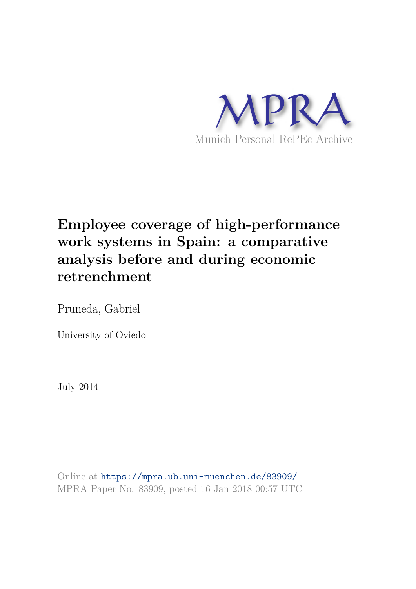

# **Employee coverage of high-performance work systems in Spain: a comparative analysis before and during economic retrenchment**

Pruneda, Gabriel

University of Oviedo

July 2014

Online at https://mpra.ub.uni-muenchen.de/83909/ MPRA Paper No. 83909, posted 16 Jan 2018 00:57 UTC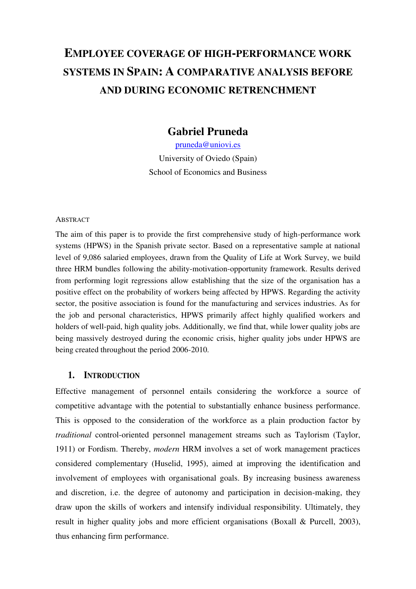# **EMPLOYEE COVERAGE OF HIGH-PERFORMANCE WORK SYSTEMS IN SPAIN: A COMPARATIVE ANALYSIS BEFORE AND DURING ECONOMIC RETRENCHMENT**

## **Gabriel Pruneda**

[pruneda@uniovi.es](mailto:pruneda@uniovi.es)  University of Oviedo (Spain) School of Economics and Business

#### **ABSTRACT**

The aim of this paper is to provide the first comprehensive study of high-performance work systems (HPWS) in the Spanish private sector. Based on a representative sample at national level of 9,086 salaried employees, drawn from the Quality of Life at Work Survey, we build three HRM bundles following the ability-motivation-opportunity framework. Results derived from performing logit regressions allow establishing that the size of the organisation has a positive effect on the probability of workers being affected by HPWS. Regarding the activity sector, the positive association is found for the manufacturing and services industries. As for the job and personal characteristics, HPWS primarily affect highly qualified workers and holders of well-paid, high quality jobs. Additionally, we find that, while lower quality jobs are being massively destroyed during the economic crisis, higher quality jobs under HPWS are being created throughout the period 2006-2010.

#### **1. INTRODUCTION**

Effective management of personnel entails considering the workforce a source of competitive advantage with the potential to substantially enhance business performance. This is opposed to the consideration of the workforce as a plain production factor by *traditional* control-oriented personnel management streams such as Taylorism (Taylor, 1911) or Fordism. Thereby, *modern* HRM involves a set of work management practices considered complementary (Huselid, 1995), aimed at improving the identification and involvement of employees with organisational goals. By increasing business awareness and discretion, i.e. the degree of autonomy and participation in decision-making, they draw upon the skills of workers and intensify individual responsibility. Ultimately, they result in higher quality jobs and more efficient organisations (Boxall & Purcell, 2003), thus enhancing firm performance.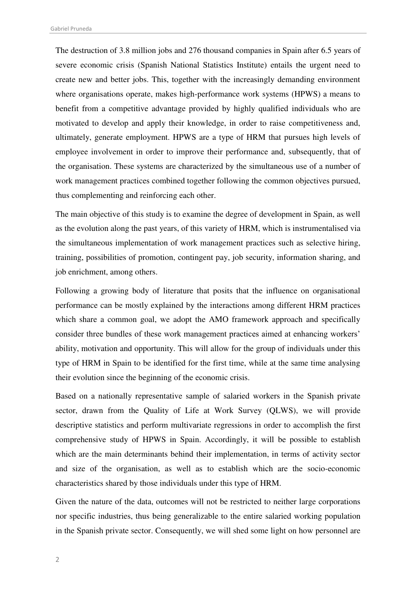Gabriel Pruneda

The destruction of 3.8 million jobs and 276 thousand companies in Spain after 6.5 years of severe economic crisis (Spanish National Statistics Institute) entails the urgent need to create new and better jobs. This, together with the increasingly demanding environment where organisations operate, makes high-performance work systems (HPWS) a means to benefit from a competitive advantage provided by highly qualified individuals who are motivated to develop and apply their knowledge, in order to raise competitiveness and, ultimately, generate employment. HPWS are a type of HRM that pursues high levels of employee involvement in order to improve their performance and, subsequently, that of the organisation. These systems are characterized by the simultaneous use of a number of work management practices combined together following the common objectives pursued, thus complementing and reinforcing each other.

The main objective of this study is to examine the degree of development in Spain, as well as the evolution along the past years, of this variety of HRM, which is instrumentalised via the simultaneous implementation of work management practices such as selective hiring, training, possibilities of promotion, contingent pay, job security, information sharing, and job enrichment, among others.

Following a growing body of literature that posits that the influence on organisational performance can be mostly explained by the interactions among different HRM practices which share a common goal, we adopt the AMO framework approach and specifically consider three bundles of these work management practices aimed at enhancing workers' ability, motivation and opportunity. This will allow for the group of individuals under this type of HRM in Spain to be identified for the first time, while at the same time analysing their evolution since the beginning of the economic crisis.

Based on a nationally representative sample of salaried workers in the Spanish private sector, drawn from the Quality of Life at Work Survey (QLWS), we will provide descriptive statistics and perform multivariate regressions in order to accomplish the first comprehensive study of HPWS in Spain. Accordingly, it will be possible to establish which are the main determinants behind their implementation, in terms of activity sector and size of the organisation, as well as to establish which are the socio-economic characteristics shared by those individuals under this type of HRM.

Given the nature of the data, outcomes will not be restricted to neither large corporations nor specific industries, thus being generalizable to the entire salaried working population in the Spanish private sector. Consequently, we will shed some light on how personnel are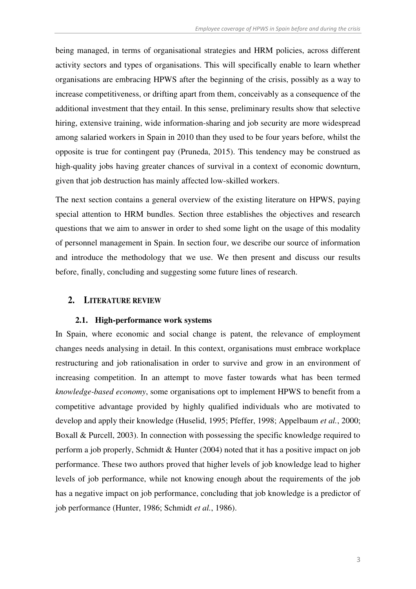being managed, in terms of organisational strategies and HRM policies, across different activity sectors and types of organisations. This will specifically enable to learn whether organisations are embracing HPWS after the beginning of the crisis, possibly as a way to increase competitiveness, or drifting apart from them, conceivably as a consequence of the additional investment that they entail. In this sense, preliminary results show that selective hiring, extensive training, wide information-sharing and job security are more widespread among salaried workers in Spain in 2010 than they used to be four years before, whilst the opposite is true for contingent pay (Pruneda, 2015). This tendency may be construed as high-quality jobs having greater chances of survival in a context of economic downturn, given that job destruction has mainly affected low-skilled workers.

The next section contains a general overview of the existing literature on HPWS, paying special attention to HRM bundles. Section three establishes the objectives and research questions that we aim to answer in order to shed some light on the usage of this modality of personnel management in Spain. In section four, we describe our source of information and introduce the methodology that we use. We then present and discuss our results before, finally, concluding and suggesting some future lines of research.

#### **2. LITERATURE REVIEW**

#### **2.1. High-performance work systems**

In Spain, where economic and social change is patent, the relevance of employment changes needs analysing in detail. In this context, organisations must embrace workplace restructuring and job rationalisation in order to survive and grow in an environment of increasing competition. In an attempt to move faster towards what has been termed *knowledge-based economy*, some organisations opt to implement HPWS to benefit from a competitive advantage provided by highly qualified individuals who are motivated to develop and apply their knowledge (Huselid, 1995; Pfeffer, 1998; Appelbaum *et al.*, 2000; Boxall & Purcell, 2003). In connection with possessing the specific knowledge required to perform a job properly, Schmidt & Hunter (2004) noted that it has a positive impact on job performance. These two authors proved that higher levels of job knowledge lead to higher levels of job performance, while not knowing enough about the requirements of the job has a negative impact on job performance, concluding that job knowledge is a predictor of job performance (Hunter, 1986; Schmidt *et al.*, 1986).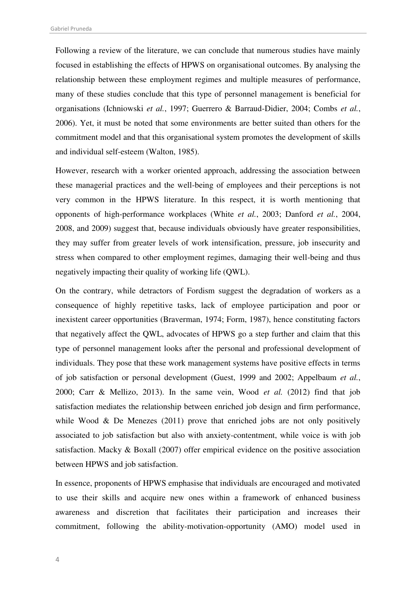Following a review of the literature, we can conclude that numerous studies have mainly focused in establishing the effects of HPWS on organisational outcomes. By analysing the relationship between these employment regimes and multiple measures of performance, many of these studies conclude that this type of personnel management is beneficial for organisations (Ichniowski *et al.*, 1997; Guerrero & Barraud-Didier, 2004; Combs *et al.*, 2006). Yet, it must be noted that some environments are better suited than others for the commitment model and that this organisational system promotes the development of skills and individual self-esteem (Walton, 1985).

However, research with a worker oriented approach, addressing the association between these managerial practices and the well-being of employees and their perceptions is not very common in the HPWS literature. In this respect, it is worth mentioning that opponents of high-performance workplaces (White *et al.*, 2003; Danford *et al.*, 2004, 2008, and 2009) suggest that, because individuals obviously have greater responsibilities, they may suffer from greater levels of work intensification, pressure, job insecurity and stress when compared to other employment regimes, damaging their well-being and thus negatively impacting their quality of working life (QWL).

On the contrary, while detractors of Fordism suggest the degradation of workers as a consequence of highly repetitive tasks, lack of employee participation and poor or inexistent career opportunities (Braverman, 1974; Form, 1987), hence constituting factors that negatively affect the QWL, advocates of HPWS go a step further and claim that this type of personnel management looks after the personal and professional development of individuals. They pose that these work management systems have positive effects in terms of job satisfaction or personal development (Guest, 1999 and 2002; Appelbaum *et al.*, 2000; Carr & Mellizo, 2013). In the same vein, Wood *et al.* (2012) find that job satisfaction mediates the relationship between enriched job design and firm performance, while Wood  $\&$  De Menezes (2011) prove that enriched jobs are not only positively associated to job satisfaction but also with anxiety-contentment, while voice is with job satisfaction. Macky & Boxall (2007) offer empirical evidence on the positive association between HPWS and job satisfaction.

In essence, proponents of HPWS emphasise that individuals are encouraged and motivated to use their skills and acquire new ones within a framework of enhanced business awareness and discretion that facilitates their participation and increases their commitment, following the ability-motivation-opportunity (AMO) model used in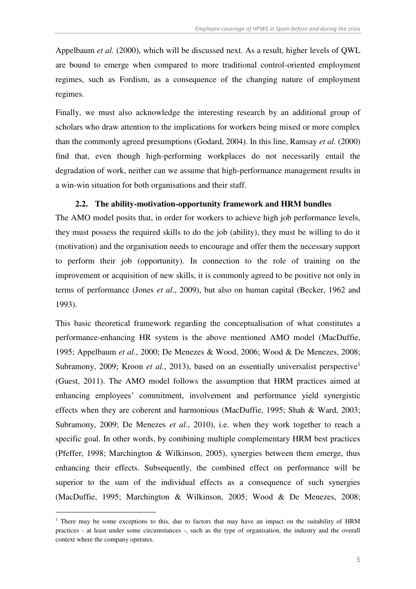Appelbaum *et al.* (2000), which will be discussed next. As a result, higher levels of QWL are bound to emerge when compared to more traditional control-oriented employment regimes, such as Fordism, as a consequence of the changing nature of employment regimes.

Finally, we must also acknowledge the interesting research by an additional group of scholars who draw attention to the implications for workers being mixed or more complex than the commonly agreed presumptions (Godard, 2004). In this line, Ramsay *et al.* (2000) find that, even though high-performing workplaces do not necessarily entail the degradation of work, neither can we assume that high-performance management results in a win-win situation for both organisations and their staff.

### **2.2. The ability-motivation-opportunity framework and HRM bundles**

The AMO model posits that, in order for workers to achieve high job performance levels, they must possess the required skills to do the job (ability), they must be willing to do it (motivation) and the organisation needs to encourage and offer them the necessary support to perform their job (opportunity). In connection to the role of training on the improvement or acquisition of new skills, it is commonly agreed to be positive not only in terms of performance (Jones *et al*., 2009), but also on human capital (Becker, 1962 and 1993).

This basic theoretical framework regarding the conceptualisation of what constitutes a performance-enhancing HR system is the above mentioned AMO model (MacDuffie, 1995; Appelbaum *et al.*, 2000; De Menezes & Wood, 2006; Wood & De Menezes, 2008; Subramony, 2009; Kroon *et al.*, 2013), based on an essentially universalist perspective<sup>1</sup> (Guest, 2011). The AMO model follows the assumption that HRM practices aimed at enhancing employees' commitment, involvement and performance yield synergistic effects when they are coherent and harmonious (MacDuffie, 1995; Shah & Ward, 2003; Subramony, 2009; De Menezes *et al.*, 2010), i.e. when they work together to reach a specific goal. In other words, by combining multiple complementary HRM best practices (Pfeffer, 1998; Marchington & Wilkinson, 2005), synergies between them emerge, thus enhancing their effects. Subsequently, the combined effect on performance will be superior to the sum of the individual effects as a consequence of such synergies (MacDuffie, 1995; Marchington & Wilkinson, 2005; Wood & De Menezes, 2008;

-

<sup>&</sup>lt;sup>1</sup> There may be some exceptions to this, due to factors that may have an impact on the suitability of HRM practices - at least under some circumstances -, such as the type of organisation, the industry and the overall context where the company operates.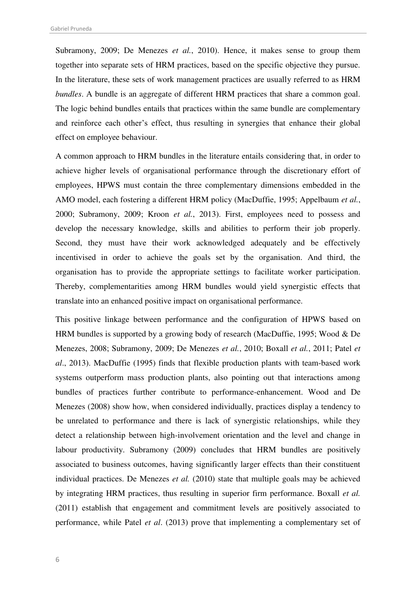Subramony, 2009; De Menezes *et al.*, 2010). Hence, it makes sense to group them together into separate sets of HRM practices, based on the specific objective they pursue. In the literature, these sets of work management practices are usually referred to as HRM *bundles*. A bundle is an aggregate of different HRM practices that share a common goal. The logic behind bundles entails that practices within the same bundle are complementary and reinforce each other's effect, thus resulting in synergies that enhance their global effect on employee behaviour.

A common approach to HRM bundles in the literature entails considering that, in order to achieve higher levels of organisational performance through the discretionary effort of employees, HPWS must contain the three complementary dimensions embedded in the AMO model, each fostering a different HRM policy (MacDuffie, 1995; Appelbaum *et al.*, 2000; Subramony, 2009; Kroon *et al.*, 2013). First, employees need to possess and develop the necessary knowledge, skills and abilities to perform their job properly. Second, they must have their work acknowledged adequately and be effectively incentivised in order to achieve the goals set by the organisation. And third, the organisation has to provide the appropriate settings to facilitate worker participation. Thereby, complementarities among HRM bundles would yield synergistic effects that translate into an enhanced positive impact on organisational performance.

This positive linkage between performance and the configuration of HPWS based on HRM bundles is supported by a growing body of research (MacDuffie, 1995; Wood & De Menezes, 2008; Subramony, 2009; De Menezes *et al.*, 2010; Boxall *et al.*, 2011; Patel *et al*., 2013). MacDuffie (1995) finds that flexible production plants with team-based work systems outperform mass production plants, also pointing out that interactions among bundles of practices further contribute to performance-enhancement. Wood and De Menezes (2008) show how, when considered individually, practices display a tendency to be unrelated to performance and there is lack of synergistic relationships, while they detect a relationship between high-involvement orientation and the level and change in labour productivity. Subramony (2009) concludes that HRM bundles are positively associated to business outcomes, having significantly larger effects than their constituent individual practices. De Menezes *et al.* (2010) state that multiple goals may be achieved by integrating HRM practices, thus resulting in superior firm performance. Boxall *et al.* (2011) establish that engagement and commitment levels are positively associated to performance, while Patel *et al*. (2013) prove that implementing a complementary set of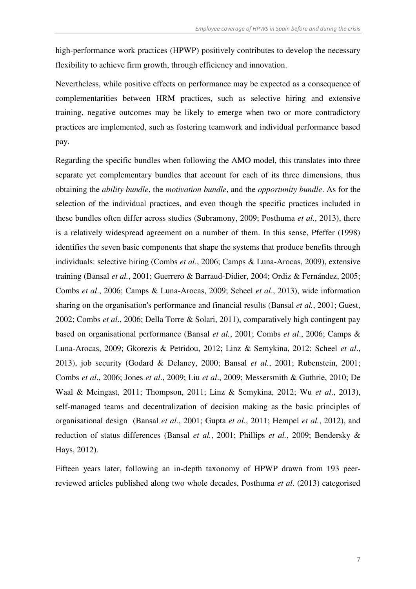high-performance work practices (HPWP) positively contributes to develop the necessary flexibility to achieve firm growth, through efficiency and innovation.

Nevertheless, while positive effects on performance may be expected as a consequence of complementarities between HRM practices, such as selective hiring and extensive training, negative outcomes may be likely to emerge when two or more contradictory practices are implemented, such as fostering teamwork and individual performance based pay.

Regarding the specific bundles when following the AMO model, this translates into three separate yet complementary bundles that account for each of its three dimensions, thus obtaining the *ability bundle*, the *motivation bundle*, and the *opportunity bundle*. As for the selection of the individual practices, and even though the specific practices included in these bundles often differ across studies (Subramony, 2009; Posthuma *et al.*, 2013), there is a relatively widespread agreement on a number of them. In this sense, Pfeffer (1998) identifies the seven basic components that shape the systems that produce benefits through individuals: selective hiring (Combs *et al*., 2006; Camps & Luna-Arocas, 2009), extensive training (Bansal *et al.*, 2001; Guerrero & Barraud-Didier, 2004; Ordiz & Fernández, 2005; Combs *et al*., 2006; Camps & Luna-Arocas, 2009; Scheel *et al*., 2013), wide information sharing on the organisation's performance and financial results (Bansal *et al.*, 2001; Guest, 2002; Combs *et al*., 2006; Della Torre & Solari, 2011), comparatively high contingent pay based on organisational performance (Bansal *et al.*, 2001; Combs *et al*., 2006; Camps & Luna-Arocas, 2009; Gkorezis & Petridou, 2012; Linz & Semykina, 2012; Scheel *et al*., 2013), job security (Godard & Delaney, 2000; Bansal *et al.*, 2001; Rubenstein, 2001; Combs *et al*., 2006; Jones *et al*., 2009; Liu *et al*., 2009; Messersmith & Guthrie, 2010; De Waal & Meingast, 2011; Thompson, 2011; Linz & Semykina, 2012; Wu *et al*., 2013), self-managed teams and decentralization of decision making as the basic principles of organisational design (Bansal *et al.*, 2001; Gupta *et al.*, 2011; Hempel *et al.*, 2012), and reduction of status differences (Bansal *et al.*, 2001; Phillips *et al.*, 2009; Bendersky & Hays, 2012).

Fifteen years later, following an in-depth taxonomy of HPWP drawn from 193 peerreviewed articles published along two whole decades, Posthuma *et al*. (2013) categorised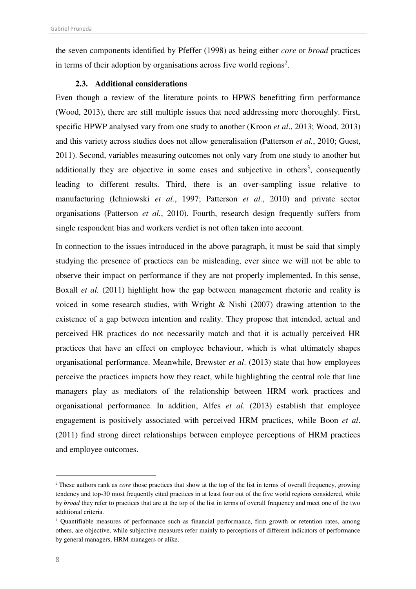the seven components identified by Pfeffer (1998) as being either *core* or *broad* practices in terms of their adoption by organisations across five world regions<sup>2</sup>.

#### **2.3. Additional considerations**

Even though a review of the literature points to HPWS benefitting firm performance (Wood, 2013), there are still multiple issues that need addressing more thoroughly. First, specific HPWP analysed vary from one study to another (Kroon *et al*., 2013; Wood, 2013) and this variety across studies does not allow generalisation (Patterson *et al.*, 2010; Guest, 2011). Second, variables measuring outcomes not only vary from one study to another but additionally they are objective in some cases and subjective in others<sup>3</sup>, consequently leading to different results. Third, there is an over-sampling issue relative to manufacturing (Ichniowski *et al.*, 1997; Patterson *et al.*, 2010) and private sector organisations (Patterson *et al.*, 2010). Fourth, research design frequently suffers from single respondent bias and workers verdict is not often taken into account.

In connection to the issues introduced in the above paragraph, it must be said that simply studying the presence of practices can be misleading, ever since we will not be able to observe their impact on performance if they are not properly implemented. In this sense, Boxall *et al.* (2011) highlight how the gap between management rhetoric and reality is voiced in some research studies, with Wright & Nishi (2007) drawing attention to the existence of a gap between intention and reality. They propose that intended, actual and perceived HR practices do not necessarily match and that it is actually perceived HR practices that have an effect on employee behaviour, which is what ultimately shapes organisational performance. Meanwhile, Brewster *et al*. (2013) state that how employees perceive the practices impacts how they react, while highlighting the central role that line managers play as mediators of the relationship between HRM work practices and organisational performance. In addition, Alfes *et al*. (2013) establish that employee engagement is positively associated with perceived HRM practices, while Boon *et al*. (2011) find strong direct relationships between employee perceptions of HRM practices and employee outcomes.

-

<sup>2</sup>These authors rank as *core* those practices that show at the top of the list in terms of overall frequency, growing tendency and top-30 most frequently cited practices in at least four out of the five world regions considered, while by *broad* they refer to practices that are at the top of the list in terms of overall frequency and meet one of the two additional criteria.

<sup>&</sup>lt;sup>3</sup> Quantifiable measures of performance such as financial performance, firm growth or retention rates, among others, are objective, while subjective measures refer mainly to perceptions of different indicators of performance by general managers, HRM managers or alike.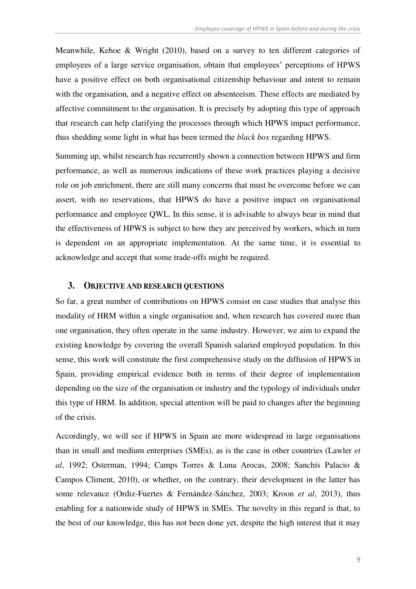Meanwhile, Kehoe & Wright (2010), based on a survey to ten different categories of employees of a large service organisation, obtain that employees' perceptions of HPWS have a positive effect on both organisational citizenship behaviour and intent to remain with the organisation, and a negative effect on absenteeism. These effects are mediated by affective commitment to the organisation. It is precisely by adopting this type of approach that research can help clarifying the processes through which HPWS impact performance, thus shedding some light in what has been termed the *black box* regarding HPWS.

Summing up, whilst research has recurrently shown a connection between HPWS and firm performance, as well as numerous indications of these work practices playing a decisive role on job enrichment, there are still many concerns that must be overcome before we can assert, with no reservations, that HPWS do have a positive impact on organisational performance and employee QWL. In this sense, it is advisable to always bear in mind that the effectiveness of HPWS is subject to how they are perceived by workers, which in turn is dependent on an appropriate implementation. At the same time, it is essential to acknowledge and accept that some trade-offs might be required.

#### **3. OBJECTIVE AND RESEARCH QUESTIONS**

So far, a great number of contributions on HPWS consist on case studies that analyse this modality of HRM within a single organisation and, when research has covered more than one organisation, they often operate in the same industry. However, we aim to expand the existing knowledge by covering the overall Spanish salaried employed population. In this sense, this work will constitute the first comprehensive study on the diffusion of HPWS in Spain, providing empirical evidence both in terms of their degree of implementation depending on the size of the organisation or industry and the typology of individuals under this type of HRM. In addition, special attention will be paid to changes after the beginning of the crisis.

Accordingly, we will see if HPWS in Spain are more widespread in large organisations than in small and medium enterprises (SMEs), as is the case in other countries (Lawler *et al*, 1992; Osterman, 1994; Camps Torres & Luna Arocas, 2008; Sanchís Palacio & Campos Climent, 2010), or whether, on the contrary, their development in the latter has some relevance (Ordiz-Fuertes & Fernández-Sánchez, 2003; Kroon *et al*, 2013), thus enabling for a nationwide study of HPWS in SMEs. The novelty in this regard is that, to the best of our knowledge, this has not been done yet, despite the high interest that it may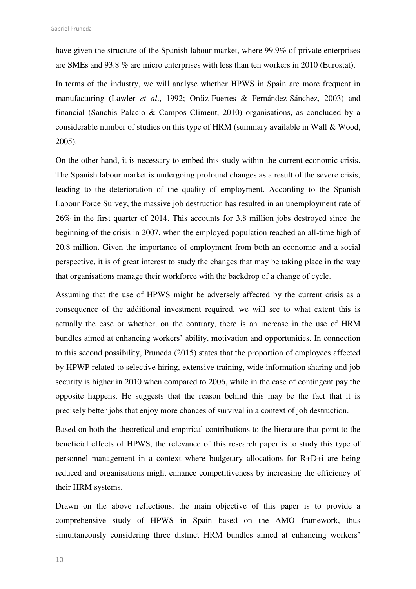have given the structure of the Spanish labour market, where 99.9% of private enterprises are SMEs and 93.8 % are micro enterprises with less than ten workers in 2010 (Eurostat).

In terms of the industry, we will analyse whether HPWS in Spain are more frequent in manufacturing (Lawler *et al*., 1992; Ordiz-Fuertes & Fernández-Sánchez, 2003) and financial (Sanchis Palacio & Campos Climent, 2010) organisations, as concluded by a considerable number of studies on this type of HRM (summary available in Wall & Wood, 2005).

On the other hand, it is necessary to embed this study within the current economic crisis. The Spanish labour market is undergoing profound changes as a result of the severe crisis, leading to the deterioration of the quality of employment. According to the Spanish Labour Force Survey, the massive job destruction has resulted in an unemployment rate of 26% in the first quarter of 2014. This accounts for 3.8 million jobs destroyed since the beginning of the crisis in 2007, when the employed population reached an all-time high of 20.8 million. Given the importance of employment from both an economic and a social perspective, it is of great interest to study the changes that may be taking place in the way that organisations manage their workforce with the backdrop of a change of cycle.

Assuming that the use of HPWS might be adversely affected by the current crisis as a consequence of the additional investment required, we will see to what extent this is actually the case or whether, on the contrary, there is an increase in the use of HRM bundles aimed at enhancing workers' ability, motivation and opportunities. In connection to this second possibility, Pruneda (2015) states that the proportion of employees affected by HPWP related to selective hiring, extensive training, wide information sharing and job security is higher in 2010 when compared to 2006, while in the case of contingent pay the opposite happens. He suggests that the reason behind this may be the fact that it is precisely better jobs that enjoy more chances of survival in a context of job destruction.

Based on both the theoretical and empirical contributions to the literature that point to the beneficial effects of HPWS, the relevance of this research paper is to study this type of personnel management in a context where budgetary allocations for R+D+i are being reduced and organisations might enhance competitiveness by increasing the efficiency of their HRM systems.

Drawn on the above reflections, the main objective of this paper is to provide a comprehensive study of HPWS in Spain based on the AMO framework, thus simultaneously considering three distinct HRM bundles aimed at enhancing workers'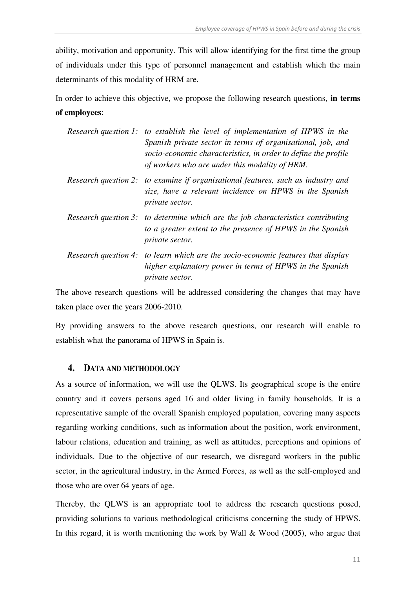ability, motivation and opportunity. This will allow identifying for the first time the group of individuals under this type of personnel management and establish which the main determinants of this modality of HRM are.

In order to achieve this objective, we propose the following research questions, **in terms of employees**:

| Research question 1: to establish the level of implementation of HPWS in the<br>Spanish private sector in terms of organisational, job, and<br>socio-economic characteristics, in order to define the profile<br>of workers who are under this modality of HRM. |
|-----------------------------------------------------------------------------------------------------------------------------------------------------------------------------------------------------------------------------------------------------------------|
| Research question 2: to examine if organisational features, such as industry and<br>size, have a relevant incidence on HPWS in the Spanish<br>private sector.                                                                                                   |
| Research question 3: to determine which are the job characteristics contributing<br>to a greater extent to the presence of HPWS in the Spanish<br>private sector.                                                                                               |
| Research question 4: to learn which are the socio-economic features that display<br>higher explanatory power in terms of HPWS in the Spanish<br><i>private sector.</i>                                                                                          |

The above research questions will be addressed considering the changes that may have taken place over the years 2006-2010.

By providing answers to the above research questions, our research will enable to establish what the panorama of HPWS in Spain is.

#### **4. DATA AND METHODOLOGY**

As a source of information, we will use the QLWS. Its geographical scope is the entire country and it covers persons aged 16 and older living in family households. It is a representative sample of the overall Spanish employed population, covering many aspects regarding working conditions, such as information about the position, work environment, labour relations, education and training, as well as attitudes, perceptions and opinions of individuals. Due to the objective of our research, we disregard workers in the public sector, in the agricultural industry, in the Armed Forces, as well as the self-employed and those who are over 64 years of age.

Thereby, the QLWS is an appropriate tool to address the research questions posed, providing solutions to various methodological criticisms concerning the study of HPWS. In this regard, it is worth mentioning the work by Wall  $& Wood (2005)$ , who argue that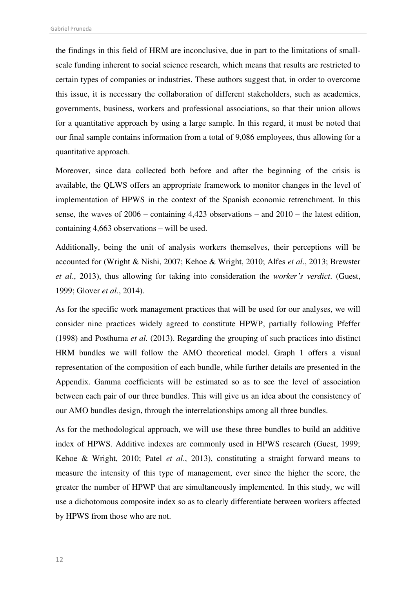the findings in this field of HRM are inconclusive, due in part to the limitations of smallscale funding inherent to social science research, which means that results are restricted to certain types of companies or industries. These authors suggest that, in order to overcome this issue, it is necessary the collaboration of different stakeholders, such as academics, governments, business, workers and professional associations, so that their union allows for a quantitative approach by using a large sample. In this regard, it must be noted that our final sample contains information from a total of 9,086 employees, thus allowing for a quantitative approach.

Moreover, since data collected both before and after the beginning of the crisis is available, the QLWS offers an appropriate framework to monitor changes in the level of implementation of HPWS in the context of the Spanish economic retrenchment. In this sense, the waves of 2006 – containing 4,423 observations – and 2010 – the latest edition, containing 4,663 observations – will be used.

Additionally, being the unit of analysis workers themselves, their perceptions will be accounted for (Wright & Nishi, 2007; Kehoe & Wright, 2010; Alfes *et al*., 2013; Brewster *et al*., 2013), thus allowing for taking into consideration the *worker's verdict*. (Guest, 1999; Glover *et al.*, 2014).

As for the specific work management practices that will be used for our analyses, we will consider nine practices widely agreed to constitute HPWP, partially following Pfeffer (1998) and Posthuma *et al.* (2013). Regarding the grouping of such practices into distinct HRM bundles we will follow the AMO theoretical model. [Graph 1](#page-13-0) offers a visual representation of the composition of each bundle, while further details are presented in the Appendix. Gamma coefficients will be estimated so as to see the level of association between each pair of our three bundles. This will give us an idea about the consistency of our AMO bundles design, through the interrelationships among all three bundles.

As for the methodological approach, we will use these three bundles to build an additive index of HPWS. Additive indexes are commonly used in HPWS research (Guest, 1999; Kehoe & Wright, 2010; Patel *et al*., 2013), constituting a straight forward means to measure the intensity of this type of management, ever since the higher the score, the greater the number of HPWP that are simultaneously implemented. In this study, we will use a dichotomous composite index so as to clearly differentiate between workers affected by HPWS from those who are not.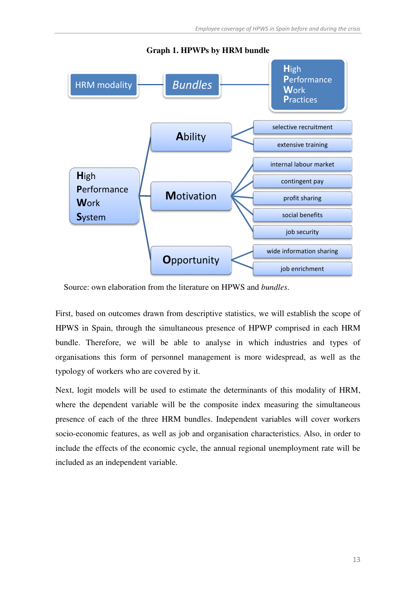<span id="page-13-0"></span>

**Graph 1. HPWPs by HRM bundle** 

Source: own elaboration from the literature on HPWS and *bundles*.

First, based on outcomes drawn from descriptive statistics, we will establish the scope of HPWS in Spain, through the simultaneous presence of HPWP comprised in each HRM bundle. Therefore, we will be able to analyse in which industries and types of organisations this form of personnel management is more widespread, as well as the typology of workers who are covered by it.

Next, logit models will be used to estimate the determinants of this modality of HRM, where the dependent variable will be the composite index measuring the simultaneous presence of each of the three HRM bundles. Independent variables will cover workers socio-economic features, as well as job and organisation characteristics. Also, in order to include the effects of the economic cycle, the annual regional unemployment rate will be included as an independent variable.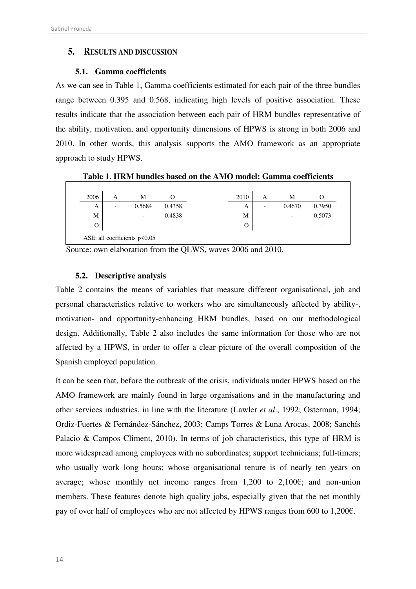### **5. RESULTS AND DISCUSSION**

#### **5.1. Gamma coefficients**

As we can see in [Table 1,](#page-14-0) Gamma coefficients estimated for each pair of the three bundles range between 0.395 and 0.568, indicating high levels of positive association. These results indicate that the association between each pair of HRM bundles representative of the ability, motivation, and opportunity dimensions of HPWS is strong in both 2006 and 2010. In other words, this analysis supports the AMO framework as an appropriate approach to study HPWS.

<span id="page-14-0"></span>

| 2006 | А                        | М                        |                          | 2010 | А                        | М      |                          |
|------|--------------------------|--------------------------|--------------------------|------|--------------------------|--------|--------------------------|
| А    | $\overline{\phantom{0}}$ | 0.5684                   | 0.4358                   | A    | $\overline{\phantom{a}}$ | 0.4670 | 0.3950                   |
| М    |                          | $\overline{\phantom{a}}$ | 0.4838                   | M    |                          | -      | 0.5073                   |
| О    |                          |                          | $\overline{\phantom{0}}$ | O    |                          |        | $\overline{\phantom{0}}$ |

**Table 1. HRM bundles based on the AMO model: Gamma coefficients** 

Source: own elaboration from the QLWS, waves 2006 and 2010.

#### **5.2. Descriptive analysis**

[Table 2](#page-15-0) contains the means of variables that measure different organisational, job and personal characteristics relative to workers who are simultaneously affected by ability-, motivation- and opportunity-enhancing HRM bundles, based on our methodological design. Additionally, [Table 2](#page-15-0) also includes the same information for those who are not affected by a HPWS, in order to offer a clear picture of the overall composition of the Spanish employed population.

It can be seen that, before the outbreak of the crisis, individuals under HPWS based on the AMO framework are mainly found in large organisations and in the manufacturing and other services industries, in line with the literature (Lawler *et al*., 1992; Osterman, 1994; Ordiz-Fuertes & Fernández-Sánchez, 2003; Camps Torres & Luna Arocas, 2008; Sanchís Palacio & Campos Climent, 2010). In terms of job characteristics, this type of HRM is more widespread among employees with no subordinates; support technicians; full-timers; who usually work long hours; whose organisational tenure is of nearly ten years on average; whose monthly net income ranges from  $1,200$  to  $2,100 \epsilon$ ; and non-union members. These features denote high quality jobs, especially given that the net monthly pay of over half of employees who are not affected by HPWS ranges from 600 to 1,200€.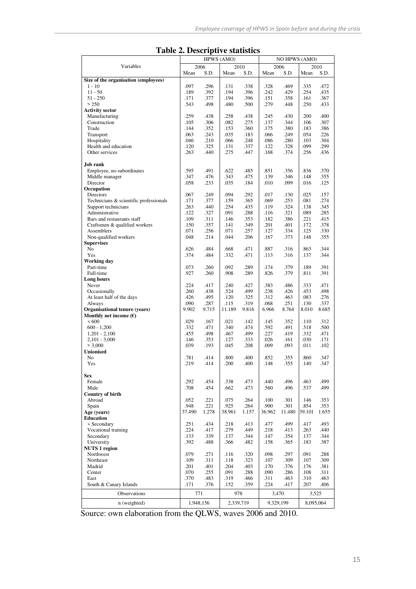<span id="page-15-0"></span>

| radic 2. Descriptive statistics        |              |              |              |              |              |              |              |                      |  |
|----------------------------------------|--------------|--------------|--------------|--------------|--------------|--------------|--------------|----------------------|--|
|                                        |              |              | HPWS (AMO)   |              |              |              |              | <b>NO HPWS (AMO)</b> |  |
| Variables                              |              | 2006         |              | 2010         |              | 2006         |              | 2010                 |  |
|                                        | Mean         | S.D.         | Mean         | S.D.         | Mean         | S.D.         | Mean         | S.D.                 |  |
| Size of the organisation (employees)   | .097         | .296         |              | .338         |              | .469         | .335         | .472                 |  |
| $1 - 10$<br>$11 - 50$                  | .189         | .392         | .131<br>.194 | .396         | .328<br>.242 | .429         | .254         | .435                 |  |
| $51 - 250$                             | .171         | .377         | .194         | .396         | .151         | .358         | .161         | .367                 |  |
| > 250                                  | .543         | .498         | .480         | .500         | .279         | .448         | .250         | .433                 |  |
| <b>Activity sector</b>                 |              |              |              |              |              |              |              |                      |  |
| Manufacturing                          | .259         | .438         | .258         | .438         | .245         | .430         | .200         | .400                 |  |
| Construction                           | .105         | .306         | .082         | .275         | .137         | .344         | .106         | .307                 |  |
| Trade                                  | .144         | .352         | .153         | .360         | .175         | .380         | .183         | .386                 |  |
| Transport                              | .063         | .243         | .035         | .183         | .066         | .249         | .054         | .226                 |  |
| Hospitality                            | .046         | .210         | .066         | .248         | .086         | .280         | .103         | .304                 |  |
| Health and education                   | .120         | .325         | .131         | .337         | .122         | .328         | .099         | .299                 |  |
| Other services                         | .263         | .440         | .275         | .447         | .168         | .374         | .256         | .436                 |  |
|                                        |              |              |              |              |              |              |              |                      |  |
| Job rank<br>Employee, no subordinates  | .595         | .491         | .622         | .485         | .851         |              | .836         | .370                 |  |
| Middle manager                         | .347         | .476         | .343         | .475         | .139         | .356<br>.346 | .148         | .355                 |  |
| Director                               | .058         | .233         | .035         | .184         | .010         | .099         | .016         | .125                 |  |
| Occupation                             |              |              |              |              |              |              |              |                      |  |
| Directors                              | .067         | .249         | .094         | .292         | .017         | .130         | .025         | .157                 |  |
| Technicians & scientific professionals | .171         | .377         | .159         | .365         | .069         | .253         | .081         | .274                 |  |
| Support technicians                    | .263         | .440         | .254         | .435         | .119         | .324         | .138         | .345                 |  |
| Administrative                         | .122         | .327         | .091         | .288         | .116         | .321         | .089         | .285                 |  |
| Bars and restaurants staff             | .109         | .311         | .146         | .353         | .182         | .386         | .221         | .415                 |  |
| Craftsmen & qualified workers          | .150         | .357         | .141         | .349         | .201         | .401         | .172         | .378                 |  |
| Assemblers                             | .071         | .256         | .071         | .257         | .127         | .334         | .125         | .330                 |  |
| Non-qualified workers                  | .048         | .214         | .044         | .206         | .167         | .373         | .148         | .355                 |  |
| <b>Supervises</b>                      |              |              |              |              |              |              |              |                      |  |
| N <sub>o</sub><br>Yes                  | .626<br>.374 | .484<br>.484 | .668<br>.332 | .471<br>.471 | .887<br>.113 | .316<br>.316 | .863<br>.137 | .344<br>.344         |  |
| <b>Working day</b>                     |              |              |              |              |              |              |              |                      |  |
| Part-time                              | .073         | .260         | .092         | .289         | .174         | .379         | .189         | .391                 |  |
| Full-time                              | .927         | .260         | .908         | .289         | .826         | .379         | .811         | .391                 |  |
| Long hours                             |              |              |              |              |              |              |              |                      |  |
| Never                                  | .224         | .417         | .240         | .427         | .383         | .486         | .333         | .471                 |  |
| Occasionally                           | .260         | .438         | .524         | .499         | .238         | .426         | .453         | .498                 |  |
| At least half of the days              | .426         | .495         | .120         | .325         | .312         | .463         | .083         | .276                 |  |
| Always                                 | .090         | .287         | .115         | .319         | .068         | .251         | .130         | .337                 |  |
| Organisational tenure (years)          | 9.902        | 9.715        | 11.189       | 9.816        | 6.966        | 8.764        | 8.010        | 8.685                |  |
| Monthly net income $(\epsilon)$        |              |              |              |              |              |              |              |                      |  |
| < 600                                  | .029         | .167         | .021         | .142         | .145         | .352         | .110         | .312                 |  |
| $600 - 1,200$<br>$1,201 - 2,100$       | .332<br>.455 | .471<br>.498 | .340<br>.467 | .474<br>.499 | .592<br>.227 | .491<br>.419 | .518<br>.332 | .500<br>.471         |  |
| $2,101 - 3,000$                        | .146         | .353         | .127         | .333         | .026         | .161         | .030         | .171                 |  |
| > 3,000                                | .039         | .193         | .045         | .208         | .009         | .093         | .011         | .102                 |  |
| <b>Unionised</b>                       |              |              |              |              |              |              |              |                      |  |
| No                                     | .781         | .414         | .800         | .400         | .852         | .355         | .860         | .347                 |  |
| Yes                                    | .219         | .414         | .200         | .400         | .148         | .355         | .140         | .347                 |  |
|                                        |              |              |              |              |              |              |              |                      |  |
| <b>Sex</b>                             |              |              |              |              |              |              |              |                      |  |
| Female                                 | .292         | .454         | .338         | .473         | .440         | .496         | .463         | .499                 |  |
| Male                                   | .708         | .454         | .662         | .473         | .560         | .496         | .537         | .499                 |  |
| Country of birth                       |              |              |              |              |              |              |              |                      |  |
| Abroad<br>Spain                        | .052<br>.948 | .221<br>.221 | .075<br>.925 | .264<br>.264 | .100<br>.900 | .301<br>.301 | .146<br>.854 | .353<br>.353         |  |
| Age (vears)                            | 37.490       | 1.278        | 38.961       | 1.157        | 36.962       | 11.480       | 39.101       | 1.655                |  |
| <b>Education</b>                       |              |              |              |              |              |              |              |                      |  |
| < Secondary                            | .251         | .434         | .218         | .413         | .477         | .499         | .417         | .493                 |  |
| Vocational training                    | .224         | .417         | .279         | .449         | .218         | .413         | .263         | .440                 |  |
| Secondary                              | .133         | .339         | .137         | .344         | .147         | .354         | .137         | .344                 |  |
| University                             | .392         | .488         | .366         | .482         | .158         | .365         | .183         | .387                 |  |
| <b>NUTS 1 region</b>                   |              |              |              |              |              |              |              |                      |  |
| Northwest                              | .079         | .271         | .116         | .320         | .098         | .297         | .091         | .288                 |  |
| Northeast                              | .109         | .311         | .118         | .323         | .107         | .309         | .107         | .309                 |  |
| Madrid                                 | .201         | .401         | .204         | .403         | .170         | .376         | .176         | .381                 |  |
| Center                                 | .070         | .255         | .091         | .288         | .090         | .286         | .108         | .311                 |  |
| East                                   | .370         | .483         | .319         | .466         | .311         | .463         | .310         | .463                 |  |
| South & Canary Islands                 | .171         | .376         | .152         | .359         | .224         | .417         | .207         | .406                 |  |
| Observations                           | 771          |              | 978          |              | 3,470        |              |              | 3,525                |  |
| n (weighted)                           |              | 1,948,156    |              | 2,339,719    | 9,329,199    |              |              | 8,095,064            |  |
|                                        |              |              |              |              |              |              |              |                      |  |

**Table 2. Descriptive statistics** 

Source: own elaboration from the QLWS, waves 2006 and 2010.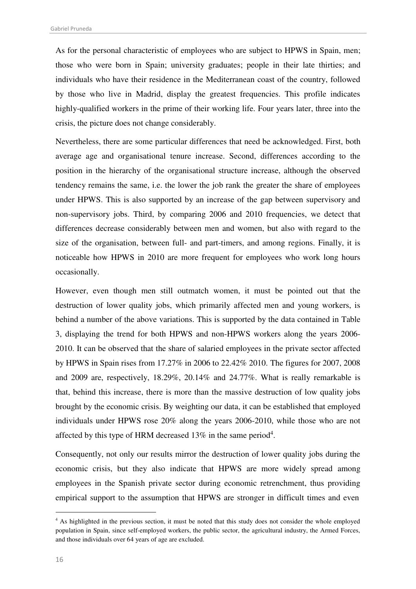As for the personal characteristic of employees who are subject to HPWS in Spain, men; those who were born in Spain; university graduates; people in their late thirties; and individuals who have their residence in the Mediterranean coast of the country, followed by those who live in Madrid, display the greatest frequencies. This profile indicates highly-qualified workers in the prime of their working life. Four years later, three into the crisis, the picture does not change considerably.

Nevertheless, there are some particular differences that need be acknowledged. First, both average age and organisational tenure increase. Second, differences according to the position in the hierarchy of the organisational structure increase, although the observed tendency remains the same, i.e. the lower the job rank the greater the share of employees under HPWS. This is also supported by an increase of the gap between supervisory and non-supervisory jobs. Third, by comparing 2006 and 2010 frequencies, we detect that differences decrease considerably between men and women, but also with regard to the size of the organisation, between full- and part-timers, and among regions. Finally, it is noticeable how HPWS in 2010 are more frequent for employees who work long hours occasionally.

However, even though men still outmatch women, it must be pointed out that the destruction of lower quality jobs, which primarily affected men and young workers, is behind a number of the above variations. This is supported by the data contained in [Table](#page-17-0)  [3,](#page-17-0) displaying the trend for both HPWS and non-HPWS workers along the years 2006- 2010. It can be observed that the share of salaried employees in the private sector affected by HPWS in Spain rises from 17.27% in 2006 to 22.42% 2010. The figures for 2007, 2008 and 2009 are, respectively, 18.29%, 20.14% and 24.77%. What is really remarkable is that, behind this increase, there is more than the massive destruction of low quality jobs brought by the economic crisis. By weighting our data, it can be established that employed individuals under HPWS rose 20% along the years 2006-2010, while those who are not affected by this type of HRM decreased 13% in the same period<sup>4</sup>.

Consequently, not only our results mirror the destruction of lower quality jobs during the economic crisis, but they also indicate that HPWS are more widely spread among employees in the Spanish private sector during economic retrenchment, thus providing empirical support to the assumption that HPWS are stronger in difficult times and even

-

<sup>&</sup>lt;sup>4</sup> As highlighted in the previous section, it must be noted that this study does not consider the whole employed population in Spain, since self-employed workers, the public sector, the agricultural industry, the Armed Forces, and those individuals over 64 years of age are excluded.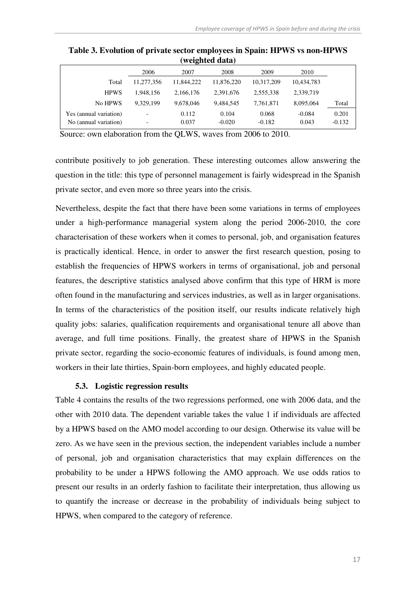|                        |            |            | weighted uata) |            |            |          |
|------------------------|------------|------------|----------------|------------|------------|----------|
|                        | 2006       | 2007       | 2008           | 2009       | 2010       |          |
| Total                  | 11,277,356 | 11.844.222 | 11.876.220     | 10,317,209 | 10,434,783 |          |
| <b>HPWS</b>            | 1.948.156  | 2,166,176  | 2,391,676      | 2,555,338  | 2,339,719  |          |
| No HPWS                | 9.329.199  | 9,678,046  | 9,484,545      | 7,761,871  | 8,095,064  | Total    |
| Yes (annual variation) |            | 0.112      | 0.104          | 0.068      | $-0.084$   | 0.201    |
| No (annual variation)  |            | 0.037      | $-0.020$       | $-0.182$   | 0.043      | $-0.132$ |

<span id="page-17-0"></span>**Table 3. Evolution of private sector employees in Spain: HPWS vs non-HPWS (weighted data)** 

Source: own elaboration from the QLWS, waves from 2006 to 2010.

contribute positively to job generation. These interesting outcomes allow answering the question in the title: this type of personnel management is fairly widespread in the Spanish private sector, and even more so three years into the crisis.

Nevertheless, despite the fact that there have been some variations in terms of employees under a high-performance managerial system along the period 2006-2010, the core characterisation of these workers when it comes to personal, job, and organisation features is practically identical. Hence, in order to answer the first research question, posing to establish the frequencies of HPWS workers in terms of organisational, job and personal features, the descriptive statistics analysed above confirm that this type of HRM is more often found in the manufacturing and services industries, as well as in larger organisations. In terms of the characteristics of the position itself, our results indicate relatively high quality jobs: salaries, qualification requirements and organisational tenure all above than average, and full time positions. Finally, the greatest share of HPWS in the Spanish private sector, regarding the socio-economic features of individuals, is found among men, workers in their late thirties, Spain-born employees, and highly educated people.

#### **5.3. Logistic regression results**

[Table 4](#page-18-0) contains the results of the two regressions performed, one with 2006 data, and the other with 2010 data. The dependent variable takes the value 1 if individuals are affected by a HPWS based on the AMO model according to our design. Otherwise its value will be zero. As we have seen in the previous section, the independent variables include a number of personal, job and organisation characteristics that may explain differences on the probability to be under a HPWS following the AMO approach. We use odds ratios to present our results in an orderly fashion to facilitate their interpretation, thus allowing us to quantify the increase or decrease in the probability of individuals being subject to HPWS, when compared to the category of reference.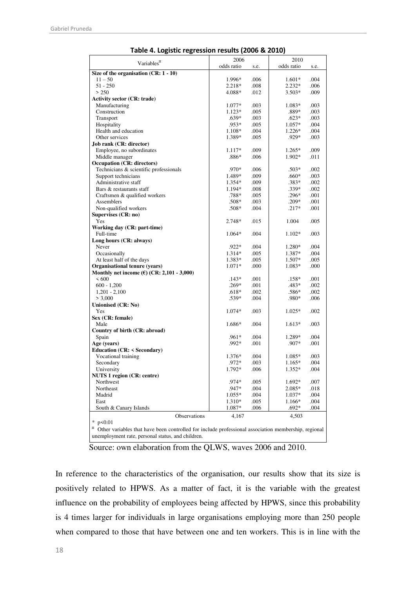<span id="page-18-0"></span>

|                                                                                                     | 2006               |      | 2010           |      |  |  |
|-----------------------------------------------------------------------------------------------------|--------------------|------|----------------|------|--|--|
| Variables <sup>¤</sup>                                                                              | odds ratio         | s.e. | odds ratio     | s.e. |  |  |
| Size of the organisation $(CR: 1 - 10)$                                                             |                    |      |                |      |  |  |
| $11 - 50$                                                                                           | 1.996*             | .006 | $1.601*$       | .004 |  |  |
| $51 - 250$                                                                                          | $2.218*$           | .008 | $2.232*$       | .006 |  |  |
| > 250                                                                                               | 4.088*             | .012 | $3.503*$       | .009 |  |  |
| <b>Activity sector (CR: trade)</b>                                                                  |                    |      |                |      |  |  |
| Manufacturing                                                                                       | 1.077*             | .003 | 1.083*         | .003 |  |  |
| Construction                                                                                        | $1.123*$           | .005 | .889*          | .003 |  |  |
| Transport                                                                                           | .639*              | .003 | $.623*$        | .003 |  |  |
| Hospitality                                                                                         | .953*              | .005 | $1.057*$       | .004 |  |  |
| Health and education                                                                                | 1.108*             | .004 | $1.226*$       | .004 |  |  |
| Other services                                                                                      | 1.389*             | .005 | .929*          | .003 |  |  |
| <b>Job rank (CR: director)</b>                                                                      |                    |      |                |      |  |  |
| Employee, no subordinates                                                                           | 1.117*             | .009 | $1.265*$       | .009 |  |  |
| Middle manager                                                                                      | $.886*$            | .006 | 1.902*         | .011 |  |  |
| <b>Occupation (CR: directors)</b>                                                                   |                    |      |                |      |  |  |
| Technicians & scientific professionals                                                              | .970*              | .006 | $.503*$        | .002 |  |  |
| Support technicians                                                                                 | 1.489*             | .009 | .660*          | .003 |  |  |
| Administrative staff                                                                                | 1.354*             | .009 | $.383*$        | .002 |  |  |
| Bars & restaurants staff                                                                            | 1.194*             | .008 | $.339*$        | .002 |  |  |
| Craftsmen & qualified workers                                                                       | $.788*$            | .005 | $.296*$        | .001 |  |  |
| Assemblers                                                                                          | $.508*$            | .003 | $.209*$        | .001 |  |  |
| Non-qualified workers                                                                               | $.508*$            | .004 | $.217*$        | .001 |  |  |
| Supervises (CR: no)                                                                                 |                    |      |                |      |  |  |
| Yes                                                                                                 | $2.748*$           | .015 | 1.004          | .005 |  |  |
| Working day (CR: part-time)                                                                         |                    |      |                |      |  |  |
| Full-time                                                                                           | 1.064*             | .004 | $1.102*$       | .003 |  |  |
| Long hours (CR: always)                                                                             |                    |      |                |      |  |  |
| Never                                                                                               | $.922*$            | .004 | 1.280*         | .004 |  |  |
| Occasionally                                                                                        | 1.314*             | .005 | 1.387*         | .004 |  |  |
| At least half of the days                                                                           |                    | .005 | 1.507*         | .005 |  |  |
| Organisational tenure (years)                                                                       | 1.383*<br>$1.071*$ | .000 | 1.083*         | .000 |  |  |
| Monthly net income $(\epsilon)$ (CR: 2,101 - 3,000)                                                 |                    |      |                |      |  |  |
| <600                                                                                                | $.143*$            | .001 | $.158*$        | .001 |  |  |
| $600 - 1,200$                                                                                       | $.269*$            | .001 | $.483*$        | .002 |  |  |
|                                                                                                     | $.618*$            | .002 |                | .002 |  |  |
| $1,201 - 2,100$<br>> 3,000                                                                          | $.539*$            | .004 | .586*<br>.980* | .006 |  |  |
|                                                                                                     |                    |      |                |      |  |  |
| Unionised (CR: No)<br>Yes                                                                           | 1.074*             | .003 | $1.025*$       | .002 |  |  |
| Sex (CR: female)                                                                                    |                    |      |                |      |  |  |
| Male                                                                                                | 1.686*             | .004 | $1.613*$       | .003 |  |  |
| Country of birth (CR: abroad)                                                                       |                    |      |                |      |  |  |
| Spain                                                                                               | $.961*$            | .004 | 1.289*         | .004 |  |  |
| Age (years)                                                                                         | .992*              | .001 | .907*          | .001 |  |  |
| <b>Education (CR: &lt; Secondary)</b>                                                               |                    |      |                |      |  |  |
| Vocational training                                                                                 | 1.376*             | .004 | 1.085*         | .003 |  |  |
| Secondary                                                                                           | $.972*$            | .003 | $1.165*$       | .004 |  |  |
|                                                                                                     |                    |      |                |      |  |  |
| University                                                                                          | $1.792*$           | .006 | $1.352*$       | .004 |  |  |
| <b>NUTS 1 region (CR: centre)</b>                                                                   | .974*              |      |                |      |  |  |
| Northwest                                                                                           | .947*              | .005 | 1.692*         | .007 |  |  |
| Northeast                                                                                           |                    | .004 | $2.085*$       | .018 |  |  |
| Madrid                                                                                              | $1.055*$           | .004 | $1.037*$       | .004 |  |  |
| East                                                                                                | 1.310*             | .005 | 1.166*         | .004 |  |  |
| South & Canary Islands                                                                              | 1.087*             | .006 | $.692*$        | .004 |  |  |
| Observations                                                                                        | 4,167              |      | 4,503          |      |  |  |
| * $p < 0.01$                                                                                        |                    |      |                |      |  |  |
| Other variables that have been controlled for include professional association membership, regional |                    |      |                |      |  |  |
| unemployment rate, personal status, and children.                                                   |                    |      |                |      |  |  |

Source: own elaboration from the QLWS, waves 2006 and 2010.

In reference to the characteristics of the organisation, our results show that its size is positively related to HPWS. As a matter of fact, it is the variable with the greatest influence on the probability of employees being affected by HPWS, since this probability is 4 times larger for individuals in large organisations employing more than 250 people when compared to those that have between one and ten workers. This is in line with the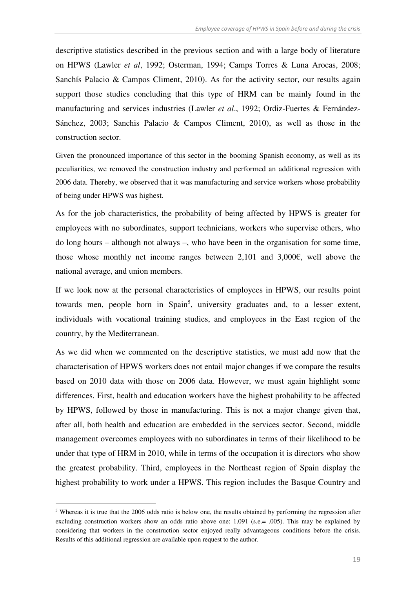descriptive statistics described in the previous section and with a large body of literature on HPWS (Lawler *et al*, 1992; Osterman, 1994; Camps Torres & Luna Arocas, 2008; Sanchís Palacio & Campos Climent, 2010). As for the activity sector, our results again support those studies concluding that this type of HRM can be mainly found in the manufacturing and services industries (Lawler *et al*., 1992; Ordiz-Fuertes & Fernández-Sánchez, 2003; Sanchis Palacio & Campos Climent, 2010), as well as those in the construction sector.

Given the pronounced importance of this sector in the booming Spanish economy, as well as its peculiarities, we removed the construction industry and performed an additional regression with 2006 data. Thereby, we observed that it was manufacturing and service workers whose probability of being under HPWS was highest.

As for the job characteristics, the probability of being affected by HPWS is greater for employees with no subordinates, support technicians, workers who supervise others, who do long hours – although not always –, who have been in the organisation for some time, those whose monthly net income ranges between 2,101 and 3,000€, well above the national average, and union members.

If we look now at the personal characteristics of employees in HPWS, our results point towards men, people born in Spain<sup>5</sup>, university graduates and, to a lesser extent, individuals with vocational training studies, and employees in the East region of the country, by the Mediterranean.

As we did when we commented on the descriptive statistics, we must add now that the characterisation of HPWS workers does not entail major changes if we compare the results based on 2010 data with those on 2006 data. However, we must again highlight some differences. First, health and education workers have the highest probability to be affected by HPWS, followed by those in manufacturing. This is not a major change given that, after all, both health and education are embedded in the services sector. Second, middle management overcomes employees with no subordinates in terms of their likelihood to be under that type of HRM in 2010, while in terms of the occupation it is directors who show the greatest probability. Third, employees in the Northeast region of Spain display the highest probability to work under a HPWS. This region includes the Basque Country and

-

<sup>&</sup>lt;sup>5</sup> Whereas it is true that the 2006 odds ratio is below one, the results obtained by performing the regression after excluding construction workers show an odds ratio above one: 1.091 (s.e.= .005). This may be explained by considering that workers in the construction sector enjoyed really advantageous conditions before the crisis. Results of this additional regression are available upon request to the author.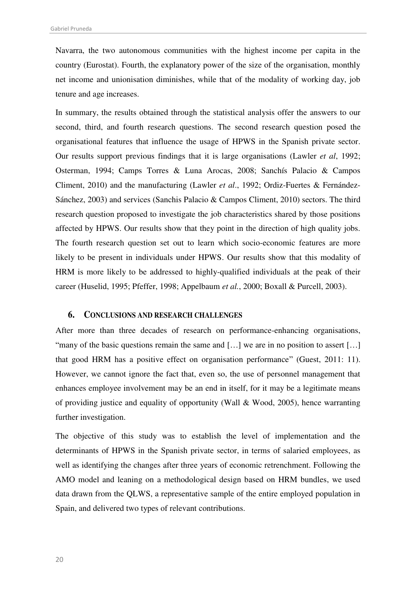Navarra, the two autonomous communities with the highest income per capita in the country (Eurostat). Fourth, the explanatory power of the size of the organisation, monthly net income and unionisation diminishes, while that of the modality of working day, job tenure and age increases.

In summary, the results obtained through the statistical analysis offer the answers to our second, third, and fourth research questions. The second research question posed the organisational features that influence the usage of HPWS in the Spanish private sector. Our results support previous findings that it is large organisations (Lawler *et al*, 1992; Osterman, 1994; Camps Torres & Luna Arocas, 2008; Sanchís Palacio & Campos Climent, 2010) and the manufacturing (Lawler *et al*., 1992; Ordiz-Fuertes & Fernández-Sánchez, 2003) and services (Sanchis Palacio & Campos Climent, 2010) sectors. The third research question proposed to investigate the job characteristics shared by those positions affected by HPWS. Our results show that they point in the direction of high quality jobs. The fourth research question set out to learn which socio-economic features are more likely to be present in individuals under HPWS. Our results show that this modality of HRM is more likely to be addressed to highly-qualified individuals at the peak of their career (Huselid, 1995; Pfeffer, 1998; Appelbaum *et al.*, 2000; Boxall & Purcell, 2003).

#### **6. CONCLUSIONS AND RESEARCH CHALLENGES**

After more than three decades of research on performance-enhancing organisations, "many of the basic questions remain the same and [...] we are in no position to assert [...] that good HRM has a positive effect on organisation performance" (Guest, 2011: 11). However, we cannot ignore the fact that, even so, the use of personnel management that enhances employee involvement may be an end in itself, for it may be a legitimate means of providing justice and equality of opportunity (Wall & Wood, 2005), hence warranting further investigation.

The objective of this study was to establish the level of implementation and the determinants of HPWS in the Spanish private sector, in terms of salaried employees, as well as identifying the changes after three years of economic retrenchment. Following the AMO model and leaning on a methodological design based on HRM bundles, we used data drawn from the QLWS, a representative sample of the entire employed population in Spain, and delivered two types of relevant contributions.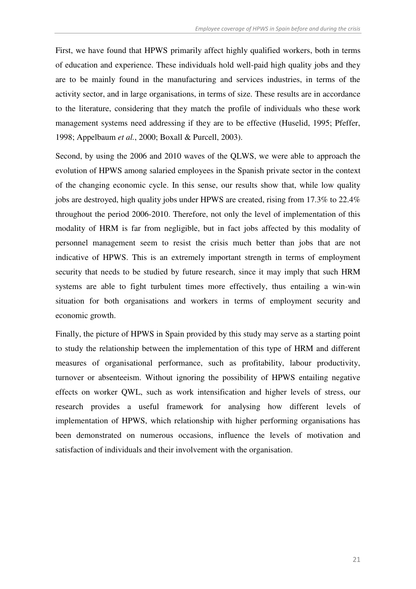First, we have found that HPWS primarily affect highly qualified workers, both in terms of education and experience. These individuals hold well-paid high quality jobs and they are to be mainly found in the manufacturing and services industries, in terms of the activity sector, and in large organisations, in terms of size. These results are in accordance to the literature, considering that they match the profile of individuals who these work management systems need addressing if they are to be effective (Huselid, 1995; Pfeffer, 1998; Appelbaum *et al.*, 2000; Boxall & Purcell, 2003).

Second, by using the 2006 and 2010 waves of the QLWS, we were able to approach the evolution of HPWS among salaried employees in the Spanish private sector in the context of the changing economic cycle. In this sense, our results show that, while low quality jobs are destroyed, high quality jobs under HPWS are created, rising from 17.3% to 22.4% throughout the period 2006-2010. Therefore, not only the level of implementation of this modality of HRM is far from negligible, but in fact jobs affected by this modality of personnel management seem to resist the crisis much better than jobs that are not indicative of HPWS. This is an extremely important strength in terms of employment security that needs to be studied by future research, since it may imply that such HRM systems are able to fight turbulent times more effectively, thus entailing a win-win situation for both organisations and workers in terms of employment security and economic growth.

Finally, the picture of HPWS in Spain provided by this study may serve as a starting point to study the relationship between the implementation of this type of HRM and different measures of organisational performance, such as profitability, labour productivity, turnover or absenteeism. Without ignoring the possibility of HPWS entailing negative effects on worker QWL, such as work intensification and higher levels of stress, our research provides a useful framework for analysing how different levels of implementation of HPWS, which relationship with higher performing organisations has been demonstrated on numerous occasions, influence the levels of motivation and satisfaction of individuals and their involvement with the organisation.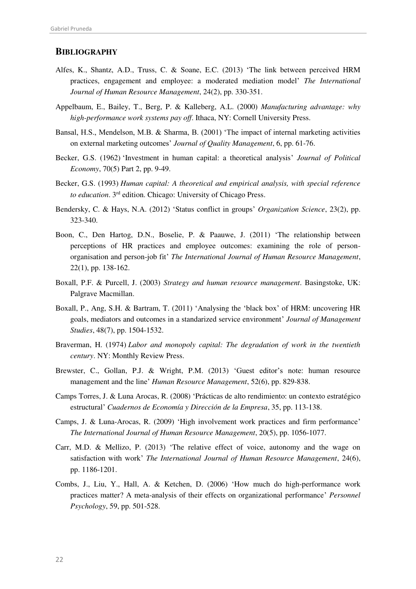#### **BIBLIOGRAPHY**

- Alfes, K., Shantz, A.D., Truss, C. & Soane, E.C. (2013) 'The link between perceived HRM practices, engagement and employee: a moderated mediation model' *The International Journal of Human Resource Management*, 24(2), pp. 330-351.
- Appelbaum, E., Bailey, T., Berg, P. & Kalleberg, A.L. (2000) *Manufacturing advantage: why high-performance work systems pay off*. Ithaca, NY: Cornell University Press.
- Bansal, H.S., Mendelson, M.B. & Sharma, B. (2001) 'The impact of internal marketing activities on external marketing outcomes' *Journal of Quality Management*, 6, pp. 61-76.
- Becker, G.S. (1962) 'Investment in human capital: a theoretical analysis' *Journal of Political Economy*, 70(5) Part 2, pp. 9-49.
- Becker, G.S. (1993) *Human capital: A theoretical and empirical analysis, with special reference to education*. 3rd edition. Chicago: University of Chicago Press.
- Bendersky, C. & Hays, N.A. (2012) 'Status conflict in groups' *Organization Science*, 23(2), pp. 323-340.
- Boon, C., Den Hartog, D.N., Boselie, P. & Paauwe, J. (2011) 'The relationship between perceptions of HR practices and employee outcomes: examining the role of personorganisation and person-job fit' *The International Journal of Human Resource Management*, 22(1), pp. 138-162.
- Boxall, P.F. & Purcell, J. (2003) *Strategy and human resource management*. Basingstoke, UK: Palgrave Macmillan.
- Boxall, P., Ang, S.H. & Bartram, T. (2011) 'Analysing the 'black box' of HRM: uncovering HR goals, mediators and outcomes in a standarized service environment' *Journal of Management Studies*, 48(7), pp. 1504-1532.
- Braverman, H. (1974) *Labor and monopoly capital: The degradation of work in the twentieth century*. NY: Monthly Review Press.
- Brewster, C., Gollan, P.J. & Wright, P.M. (2013) 'Guest editor's note: human resource management and the line' *Human Resource Management*, 52(6), pp. 829-838.
- Camps Torres, J. & Luna Arocas, R. (2008) 'Prácticas de alto rendimiento: un contexto estratégico estructural' *Cuadernos de Economía y Dirección de la Empresa*, 35, pp. 113-138.
- Camps, J. & Luna-Arocas, R. (2009) 'High involvement work practices and firm performance' *The International Journal of Human Resource Management*, 20(5), pp. 1056-1077.
- Carr, M.D. & Mellizo, P. (2013) 'The relative effect of voice, autonomy and the wage on satisfaction with work' *The International Journal of Human Resource Management*, 24(6), pp. 1186-1201.
- Combs, J., Liu, Y., Hall, A. & Ketchen, D. (2006) 'How much do high-performance work practices matter? A meta-analysis of their effects on organizational performance' *Personnel Psychology*, 59, pp. 501-528.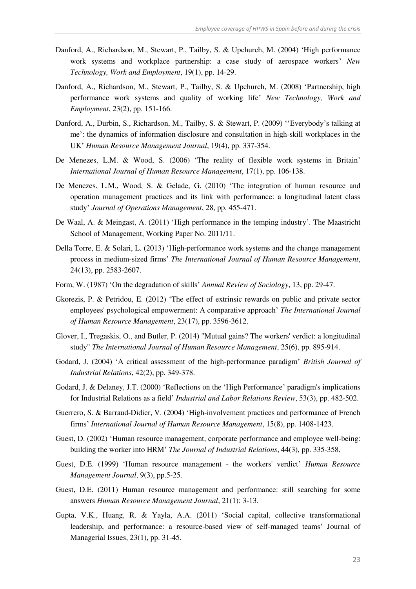- Danford, A., Richardson, M., Stewart, P., Tailby, S. & Upchurch, M. (2004) 'High performance work systems and workplace partnership: a case study of aerospace workers' *New Technology, Work and Employment*, 19(1), pp. 14-29.
- Danford, A., Richardson, M., Stewart, P., Tailby, S. & Upchurch, M. (2008) 'Partnership, high performance work systems and quality of working life' *New Technology, Work and Employment*, 23(2), pp. 151-166.
- Danford, A., Durbin, S., Richardson, M., Tailby, S. & Stewart, P. (2009) ''Everybody's talking at me': the dynamics of information disclosure and consultation in high-skill workplaces in the UK' *Human Resource Management Journal*, 19(4), pp. 337-354.
- De Menezes, L.M. & Wood, S. (2006) 'The reality of flexible work systems in Britain' *International Journal of Human Resource Management*, 17(1), pp. 106-138.
- De Menezes. L.M., Wood, S. & Gelade, G. (2010) 'The integration of human resource and operation management practices and its link with performance: a longitudinal latent class study' *Journal of Operations Management*, 28, pp. 455-471.
- De Waal, A. & Meingast, A. (2011) 'High performance in the temping industry'. The Maastricht School of Management, Working Paper No. 2011/11.
- Della Torre, E. & Solari, L. (2013) 'High-performance work systems and the change management process in medium-sized firms' *The International Journal of Human Resource Management*, 24(13), pp. 2583-2607.
- Form, W. (1987) 'On the degradation of skills' *Annual Review of Sociology*, 13, pp. 29-47.
- Gkorezis, P. & Petridou, E. (2012) 'The effect of extrinsic rewards on public and private sector employees' psychological empowerment: A comparative approach' *The International Journal of Human Resource Management*, 23(17), pp. 3596-3612.
- Glover, I., Tregaskis, O., and Butler, P. (2014) "Mutual gains? The workers' verdict: a longitudinal study" *The International Journal of Human Resource Management*, 25(6), pp. 895-914.
- Godard, J. (2004) 'A critical assessment of the high-performance paradigm' *British Journal of Industrial Relations*, 42(2), pp. 349-378.
- Godard, J. & Delaney, J.T. (2000) 'Reflections on the 'High Performance' paradigm's implications for Industrial Relations as a field' *Industrial and Labor Relations Review*, 53(3), pp. 482-502.
- Guerrero, S. & Barraud-Didier, V. (2004) 'High-involvement practices and performance of French firms' *International Journal of Human Resource Management*, 15(8), pp. 1408-1423.
- Guest, D. (2002) 'Human resource management, corporate performance and employee well-being: building the worker into HRM' *The Journal of Industrial Relations*, 44(3), pp. 335-358.
- Guest, D.E. (1999) 'Human resource management the workers' verdict' *Human Resource Management Journal*, 9(3), pp.5-25.
- Guest, D.E. (2011) Human resource management and performance: still searching for some answers *Human Resource Management Journal*, 21(1): 3-13.
- Gupta, V.K., Huang, R. & Yayla, A.A. (2011) 'Social capital, collective transformational leadership, and performance: a resource-based view of self-managed teams' Journal of Managerial Issues, 23(1), pp. 31-45.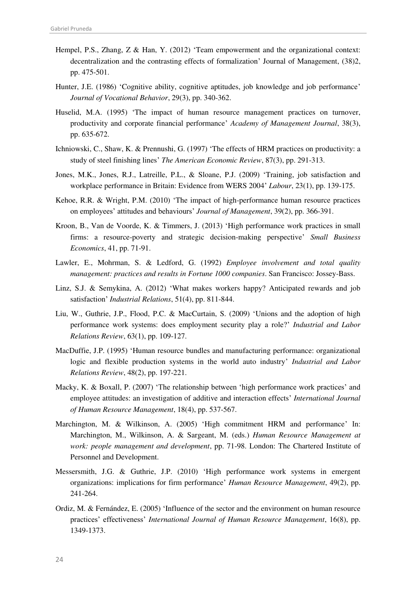- Hempel, P.S., Zhang, Z & Han, Y. (2012) 'Team empowerment and the organizational context: decentralization and the contrasting effects of formalization' Journal of Management, (38)2, pp. 475-501.
- Hunter, J.E. (1986) 'Cognitive ability, cognitive aptitudes, job knowledge and job performance' *Journal of Vocational Behavior*, 29(3), pp. 340-362.
- Huselid, M.A. (1995) 'The impact of human resource management practices on turnover, productivity and corporate financial performance' *Academy of Management Journal*, 38(3), pp. 635-672.
- Ichniowski, C., Shaw, K. & Prennushi, G. (1997) 'The effects of HRM practices on productivity: a study of steel finishing lines' *The American Economic Review*, 87(3), pp. 291-313.
- Jones, M.K., Jones, R.J., Latreille, P.L., & Sloane, P.J. (2009) 'Training, job satisfaction and workplace performance in Britain: Evidence from WERS 2004' *Labour*, 23(1), pp. 139-175.
- Kehoe, R.R. & Wright, P.M. (2010) 'The impact of high-performance human resource practices on employees' attitudes and behaviours' *Journal of Management*, 39(2), pp. 366-391.
- Kroon, B., Van de Voorde, K. & Timmers, J. (2013) 'High performance work practices in small firms: a resource-poverty and strategic decision-making perspective' *Small Business Economics*, 41, pp. 71-91.
- Lawler, E., Mohrman, S. & Ledford, G. (1992) *Employee involvement and total quality management: practices and results in Fortune 1000 companies*. San Francisco: Jossey-Bass.
- Linz, S.J. & Semykina, A. (2012) 'What makes workers happy? Anticipated rewards and job satisfaction' *Industrial Relations*, 51(4), pp. 811-844.
- Liu, W., Guthrie, J.P., Flood, P.C. & MacCurtain, S. (2009) 'Unions and the adoption of high performance work systems: does employment security play a role?' *Industrial and Labor Relations Review*, 63(1), pp. 109-127.
- MacDuffie, J.P. (1995) 'Human resource bundles and manufacturing performance: organizational logic and flexible production systems in the world auto industry' *Industrial and Labor Relations Review*, 48(2), pp. 197-221.
- Macky, K. & Boxall, P. (2007) 'The relationship between 'high performance work practices' and employee attitudes: an investigation of additive and interaction effects' *International Journal of Human Resource Management*, 18(4), pp. 537-567.
- Marchington, M. & Wilkinson, A. (2005) 'High commitment HRM and performance' In: Marchington, M., Wilkinson, A. & Sargeant, M. (eds.) *Human Resource Management at work: people management and development*, pp. 71-98. London: The Chartered Institute of Personnel and Development.
- Messersmith, J.G. & Guthrie, J.P. (2010) 'High performance work systems in emergent organizations: implications for firm performance' *Human Resource Management*, 49(2), pp. 241-264.
- Ordiz, M. & Fernández, E. (2005) 'Influence of the sector and the environment on human resource practices' effectiveness' *International Journal of Human Resource Management*, 16(8), pp. 1349-1373.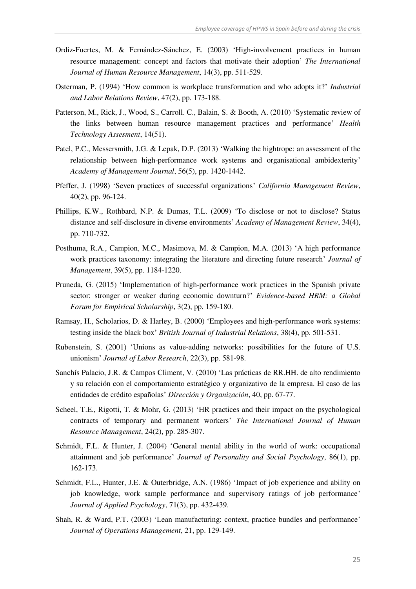- Ordiz-Fuertes, M. & Fernández-Sánchez, E. (2003) 'High-involvement practices in human resource management: concept and factors that motivate their adoption' *The International Journal of Human Resource Management*, 14(3), pp. 511-529.
- Osterman, P. (1994) 'How common is workplace transformation and who adopts it?' *Industrial and Labor Relations Review*, 47(2), pp. 173-188.
- Patterson, M., Rick, J., Wood, S., Carroll. C., Balain, S. & Booth, A. (2010) 'Systematic review of the links between human resource management practices and performance' *Health Technology Assesment*, 14(51).
- Patel, P.C., Messersmith, J.G. & Lepak, D.P. (2013) 'Walking the hightrope: an assessment of the relationship between high-performance work systems and organisational ambidexterity' *Academy of Management Journal*, 56(5), pp. 1420-1442.
- Pfeffer, J. (1998) 'Seven practices of successful organizations' *California Management Review*, 40(2), pp. 96-124.
- Phillips, K.W., Rothbard, N.P. & Dumas, T.L. (2009) 'To disclose or not to disclose? Status distance and self-disclosure in diverse environments' *Academy of Management Review*, 34(4), pp. 710-732.
- Posthuma, R.A., Campion, M.C., Masimova, M. & Campion, M.A. (2013) 'A high performance work practices taxonomy: integrating the literature and directing future research' *Journal of Management*, 39(5), pp. 1184-1220.
- Pruneda, G. (2015) 'Implementation of high-performance work practices in the Spanish private sector: stronger or weaker during economic downturn?' *Evidence-based HRM: a Global Forum for Empirical Scholarship*, 3(2), pp. 159-180.
- Ramsay, H., Scholarios, D. & Harley, B. (2000) 'Employees and high-performance work systems: testing inside the black box' *British Journal of Industrial Relations*, 38(4), pp. 501-531.
- Rubenstein, S. (2001) 'Unions as value-adding networks: possibilities for the future of U.S. unionism' *Journal of Labor Research*, 22(3), pp. 581-98.
- Sanchís Palacio, J.R. & Campos Climent, V. (2010) 'Las prácticas de RR.HH. de alto rendimiento y su relación con el comportamiento estratégico y organizativo de la empresa. El caso de las entidades de crédito españolas' *Dirección y Organización*, 40, pp. 67-77.
- Scheel, T.E., Rigotti, T. & Mohr, G. (2013) 'HR practices and their impact on the psychological contracts of temporary and permanent workers' *The International Journal of Human Resource Management*, 24(2), pp. 285-307.
- Schmidt, F.L. & Hunter, J. (2004) 'General mental ability in the world of work: occupational attainment and job performance' *Journal of Personality and Social Psychology*, 86(1), pp. 162-173.
- Schmidt, F.L., Hunter, J.E. & Outerbridge, A.N. (1986) 'Impact of job experience and ability on job knowledge, work sample performance and supervisory ratings of job performance' *Journal of Applied Psychology*, 71(3), pp. 432-439.
- Shah, R. & Ward, P.T. (2003) 'Lean manufacturing: context, practice bundles and performance' *Journal of Operations Management*, 21, pp. 129-149.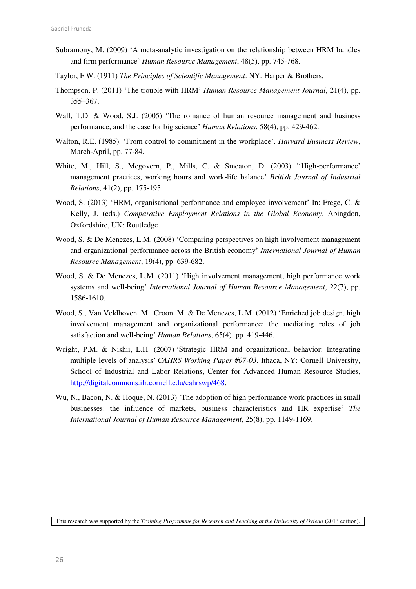- Subramony, M. (2009) 'A meta-analytic investigation on the relationship between HRM bundles and firm performance' *Human Resource Management*, 48(5), pp. 745-768.
- Taylor, F.W. (1911) *The Principles of Scientific Management*. NY: Harper & Brothers.
- Thompson, P. (2011) 'The trouble with HRM' *Human Resource Management Journal*, 21(4), pp. 355–367.
- Wall, T.D. & Wood, S.J. (2005) 'The romance of human resource management and business performance, and the case for big science' *Human Relations*, 58(4), pp. 429-462.
- Walton, R.E. (1985). 'From control to commitment in the workplace'. *Harvard Business Review*, March-April, pp. 77-84.
- White, M., Hill, S., Mcgovern, P., Mills, C. & Smeaton, D. (2003) ''High-performance' management practices, working hours and work-life balance' *British Journal of Industrial Relations*, 41(2), pp. 175-195.
- Wood, S. (2013) 'HRM, organisational performance and employee involvement' In: Frege, C. & Kelly, J. (eds.) *Comparative Employment Relations in the Global Economy*. Abingdon, Oxfordshire, UK: Routledge.
- Wood, S. & De Menezes, L.M. (2008) 'Comparing perspectives on high involvement management and organizational performance across the British economy' *International Journal of Human Resource Management*, 19(4), pp. 639-682.
- Wood, S. & De Menezes, L.M. (2011) 'High involvement management, high performance work systems and well-being' *International Journal of Human Resource Management*, 22(7), pp. 1586-1610.
- Wood, S., Van Veldhoven. M., Croon, M. & De Menezes, L.M. (2012) 'Enriched job design, high involvement management and organizational performance: the mediating roles of job satisfaction and well-being' *Human Relations*, 65(4), pp. 419-446.
- Wright, P.M. & Nishii, L.H. (2007) 'Strategic HRM and organizational behavior: Integrating multiple levels of analysis' *CAHRS Working Paper #07-03*. Ithaca, NY: Cornell University, School of Industrial and Labor Relations, Center for Advanced Human Resource Studies, [http://digitalcommons.ilr.cornell.edu/cahrswp/468.](http://digitalcommons.ilr.cornell.edu/cahrswp/468)
- [Wu,](http://www.tandfonline.com/action/doSearch?action=runSearch&type=advanced&searchType=journal&result=true&prevSearch=%2Bauthorsfield%3A(Wu%2C+N)) N.[, Bacon,](http://www.tandfonline.com/action/doSearch?action=runSearch&type=advanced&searchType=journal&result=true&prevSearch=%2Bauthorsfield%3A(Bacon%2C+N)) N. & [Hoque,](http://www.tandfonline.com/action/doSearch?action=runSearch&type=advanced&searchType=journal&result=true&prevSearch=%2Bauthorsfield%3A(Hoque%2C+K)) N. (2013) 'The adoption of high performance work practices in small businesses: the influence of markets, business characteristics and HR expertise' *The International Journal of Human Resource Management*, 25(8), pp. 1149-1169.

This research was supported by the *Training Programme for Research and Teaching at the University of Oviedo* (2013 edition).